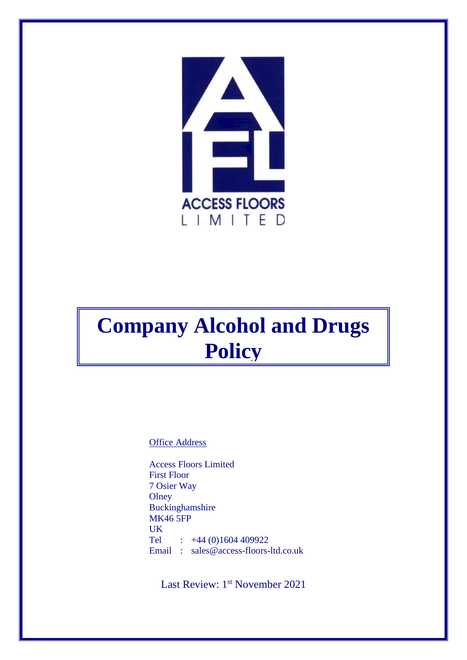

# **Company Alcohol and Drugs Policy**

Office Address

Access Floors Limited First Floor 7 Osier Way **Olney** Buckinghamshire MK46 5FP UK Tel :  $+44(0)1604409922$ Email : sales@access-floors-ltd.co.uk

Last Review: 1<sup>st</sup> November 2021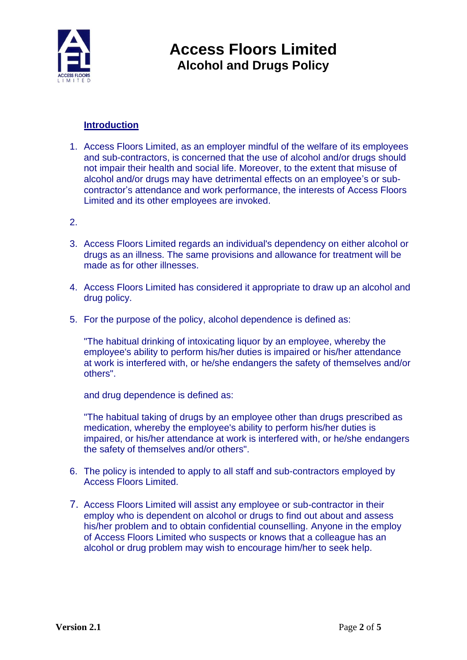

#### **Introduction**

- 1. Access Floors Limited, as an employer mindful of the welfare of its employees and sub-contractors, is concerned that the use of alcohol and/or drugs should not impair their health and social life. Moreover, to the extent that misuse of alcohol and/or drugs may have detrimental effects on an employee's or subcontractor's attendance and work performance, the interests of Access Floors Limited and its other employees are invoked.
- 2.
- 3. Access Floors Limited regards an individual's dependency on either alcohol or drugs as an illness. The same provisions and allowance for treatment will be made as for other illnesses.
- 4. Access Floors Limited has considered it appropriate to draw up an alcohol and drug policy.
- 5. For the purpose of the policy, alcohol dependence is defined as:

"The habitual drinking of intoxicating liquor by an employee, whereby the employee's ability to perform his/her duties is impaired or his/her attendance at work is interfered with, or he/she endangers the safety of themselves and/or others".

and drug dependence is defined as:

"The habitual taking of drugs by an employee other than drugs prescribed as medication, whereby the employee's ability to perform his/her duties is impaired, or his/her attendance at work is interfered with, or he/she endangers the safety of themselves and/or others".

- 6. The policy is intended to apply to all staff and sub-contractors employed by Access Floors Limited.
- 7. Access Floors Limited will assist any employee or sub-contractor in their employ who is dependent on alcohol or drugs to find out about and assess his/her problem and to obtain confidential counselling. Anyone in the employ of Access Floors Limited who suspects or knows that a colleague has an alcohol or drug problem may wish to encourage him/her to seek help.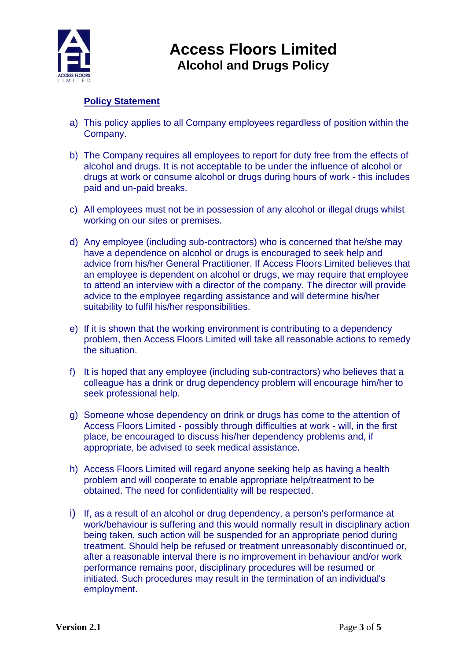

### **Policy Statement**

- a) This policy applies to all Company employees regardless of position within the Company.
- b) The Company requires all employees to report for duty free from the effects of alcohol and drugs. It is not acceptable to be under the influence of alcohol or drugs at work or consume alcohol or drugs during hours of work - this includes paid and un-paid breaks.
- c) All employees must not be in possession of any alcohol or illegal drugs whilst working on our sites or premises.
- d) Any employee (including sub-contractors) who is concerned that he/she may have a dependence on alcohol or drugs is encouraged to seek help and advice from his/her General Practitioner. If Access Floors Limited believes that an employee is dependent on alcohol or drugs, we may require that employee to attend an interview with a director of the company. The director will provide advice to the employee regarding assistance and will determine his/her suitability to fulfil his/her responsibilities.
- e) If it is shown that the working environment is contributing to a dependency problem, then Access Floors Limited will take all reasonable actions to remedy the situation.
- f) It is hoped that any employee (including sub-contractors) who believes that a colleague has a drink or drug dependency problem will encourage him/her to seek professional help.
- g) Someone whose dependency on drink or drugs has come to the attention of Access Floors Limited - possibly through difficulties at work - will, in the first place, be encouraged to discuss his/her dependency problems and, if appropriate, be advised to seek medical assistance.
- h) Access Floors Limited will regard anyone seeking help as having a health problem and will cooperate to enable appropriate help/treatment to be obtained. The need for confidentiality will be respected.
- i) If, as a result of an alcohol or drug dependency, a person's performance at work/behaviour is suffering and this would normally result in disciplinary action being taken, such action will be suspended for an appropriate period during treatment. Should help be refused or treatment unreasonably discontinued or, after a reasonable interval there is no improvement in behaviour and/or work performance remains poor, disciplinary procedures will be resumed or initiated. Such procedures may result in the termination of an individual's employment.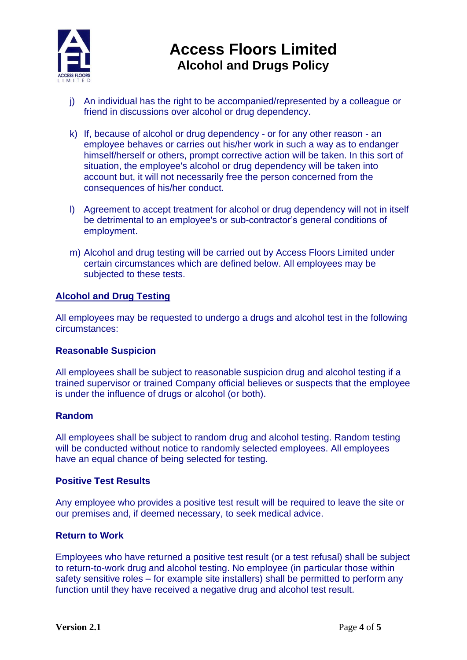

- j) An individual has the right to be accompanied/represented by a colleague or friend in discussions over alcohol or drug dependency.
- k) If, because of alcohol or drug dependency or for any other reason an employee behaves or carries out his/her work in such a way as to endanger himself/herself or others, prompt corrective action will be taken. In this sort of situation, the employee's alcohol or drug dependency will be taken into account but, it will not necessarily free the person concerned from the consequences of his/her conduct.
- l) Agreement to accept treatment for alcohol or drug dependency will not in itself be detrimental to an employee's or sub-contractor's general conditions of employment.
- m) Alcohol and drug testing will be carried out by Access Floors Limited under certain circumstances which are defined below. All employees may be subjected to these tests.

#### **Alcohol and Drug Testing**

All employees may be requested to undergo a drugs and alcohol test in the following circumstances:

#### **Reasonable Suspicion**

All employees shall be subject to reasonable suspicion drug and alcohol testing if a trained supervisor or trained Company official believes or suspects that the employee is under the influence of drugs or alcohol (or both).

#### **Random**

All employees shall be subject to random drug and alcohol testing. Random testing will be conducted without notice to randomly selected employees. All employees have an equal chance of being selected for testing.

#### **Positive Test Results**

Any employee who provides a positive test result will be required to leave the site or our premises and, if deemed necessary, to seek medical advice.

#### **Return to Work**

Employees who have returned a positive test result (or a test refusal) shall be subject to return-to-work drug and alcohol testing. No employee (in particular those within safety sensitive roles – for example site installers) shall be permitted to perform any function until they have received a negative drug and alcohol test result.